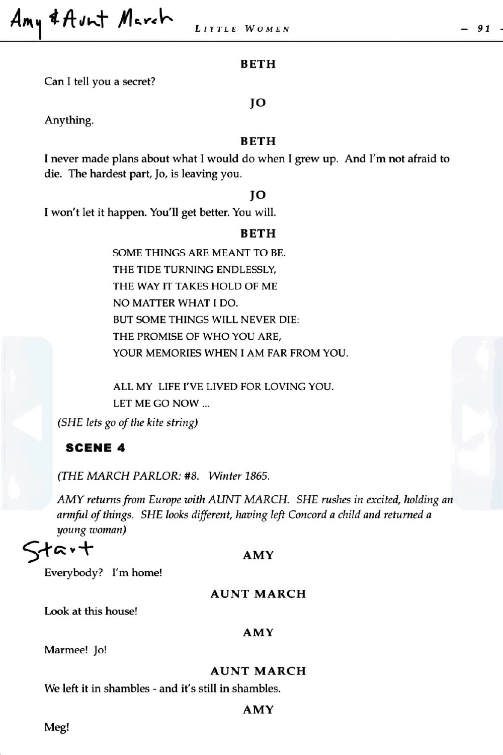Amy & Avnt March

#### **BETH**

Can I tell you a secret?

# Anything.

## **BETH**

**JO** 

I never made plans about what I would do when I grew up. And I'm not afraid to die. The hardest part, Jo, is leaving you.

#### **JO**

I won't let it happen. You'll get better. You will.

#### **BETH**

SOME THINGS ARE MEANT TO BE. THE TIDE TURNING ENDLESSLY, THE WAY IT TAKES HOLD OF ME NO MATTER WHAT I DO. BUT SOME THINGS WILL NEVER DIE: THE PROMISE OF WHO YOU ARE, YOUR MEMORIES WHEN I AM FAR FROM YOU.

ALL MY LIFE I'VE LIVED FOR LOVING YOU. LET ME GO NOW ...

*(SHE lets go of the kite string)* 

## **SCENE 4**

*(THE MARCH PARLOR: #8. Winter 1865.* 

*AMY returns from Europe with AUNT MARCH.* SHE *rusl-zes in excited, holding an armful of things. SHE looks different, having left Concord a child and returned a young woman)* 

# tart

## **AMY**

Everybody? I'm home!

## **AUNT MARCH**

Look at this house!

#### **AMY**

Marmee! Jo!

## **AUNT MARCH**

We left it in shambles - and it's still in shambles.

# **AMY**

Meg!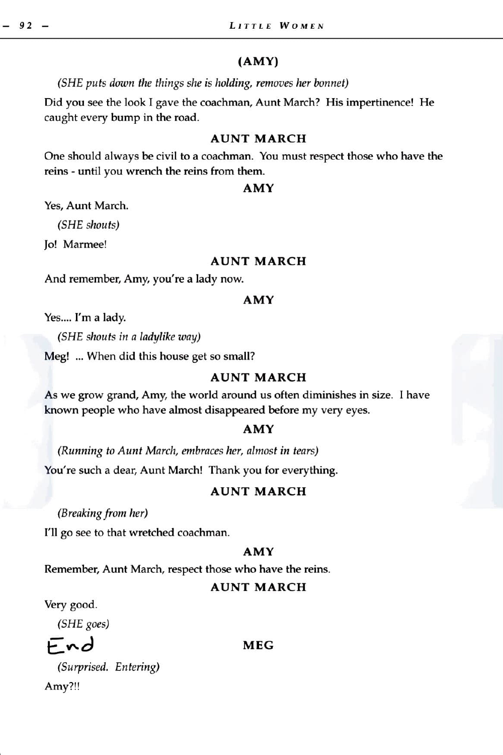## **(AMY)**

*(SHE puts down the things she is holding, removes her bonnet)* 

Did you see the look I gave the coachman, Aunt March? His impertinence! He caught every bump in the road.

## **AUNT MARCH**

One should always be civil to a coachman. You must respect those who have the reins - until you wrench the reins from them.

#### **AMY**

Yes, Aunt March.

*(SHE shouts)* 

Jo! Marmee!

## **AUNT MARCH**

And remember, Amy, you're a lady now.

#### **AMY**

Yes.... I'm a lady.

*(SHE shouts in a ladylike way)* 

Meg! ... When did this house get so small?

## **AUNT MARCH**

As we grow grand, Amy, the world around us often diminishes in size. I have known people who have almost disappeared before my very eyes.

#### **AMY**

*(Running to Aunt March, embraces her, almost in tears)*  You're such a dear, Aunt March! Thank you for everything.

## **AUNT MARCH**

*(Breaking from her)* 

I'll go see to that wretched coachman.

# **AMY**

Remember, Aunt March, respect those who have the reins.

## **AUNT MARCH**

Very good.

*(SHE goes)* 

£: *"'"cJ* 

#### **MEG**

*(Surprised. Entering)*  Amy?!!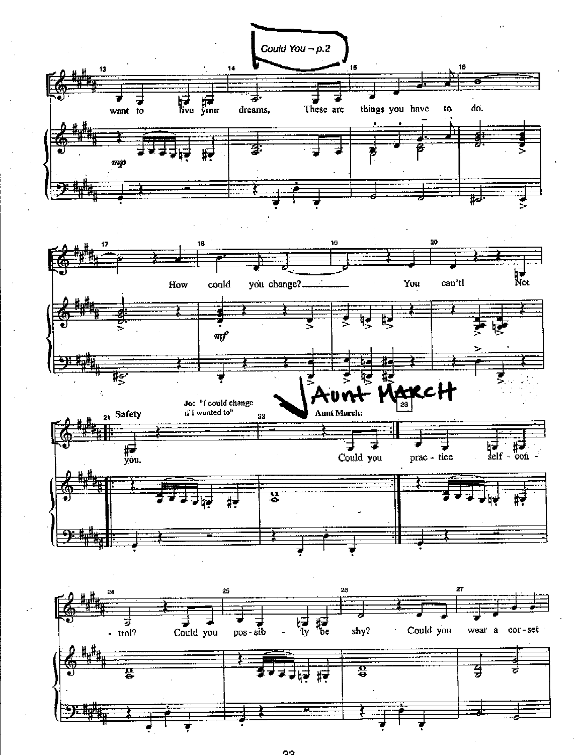

oo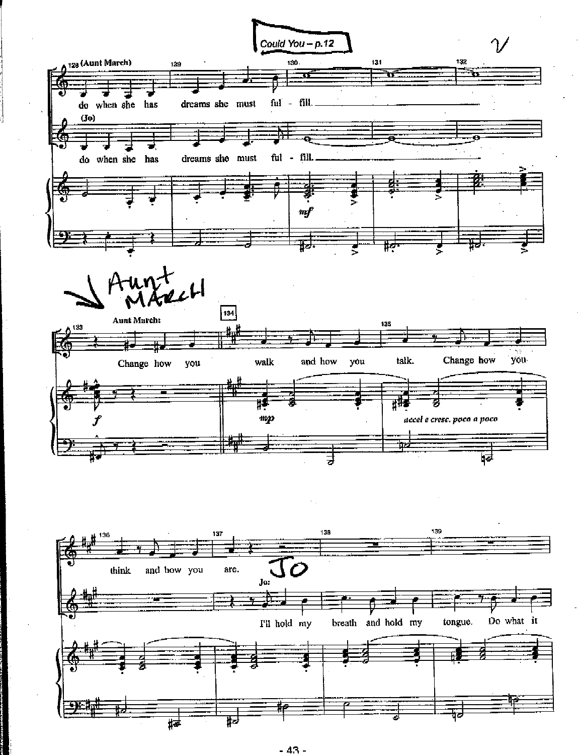

 $-43 -$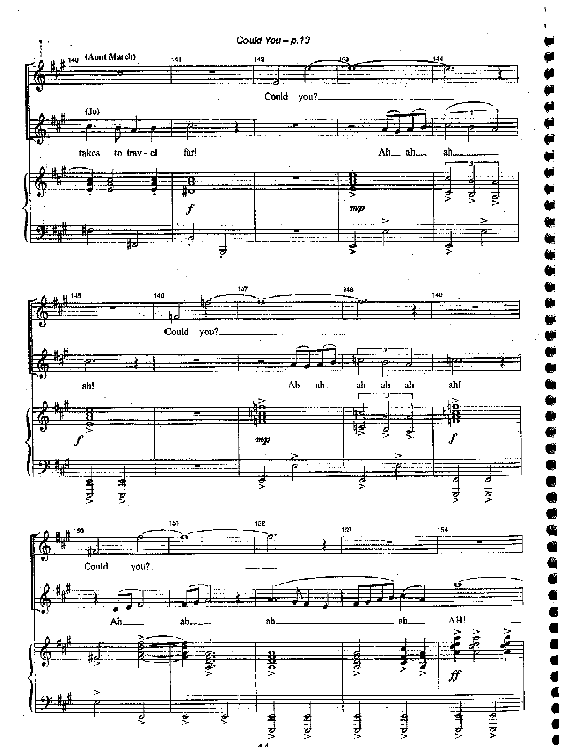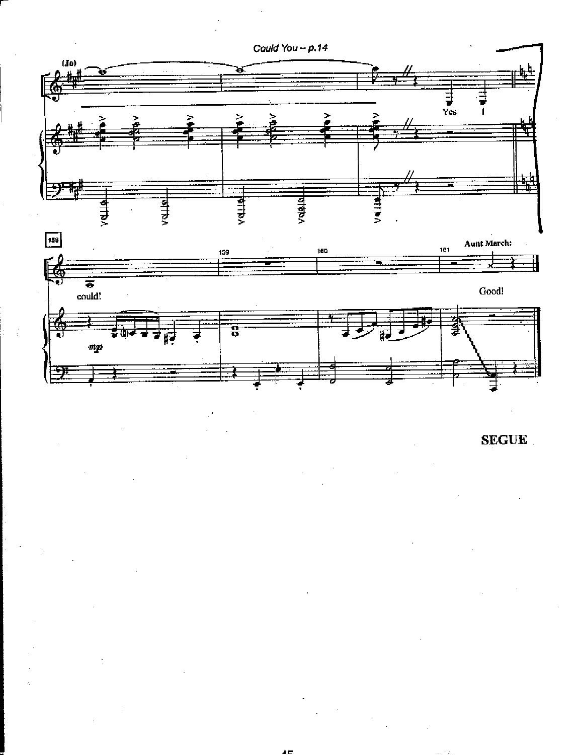

**SEGUE**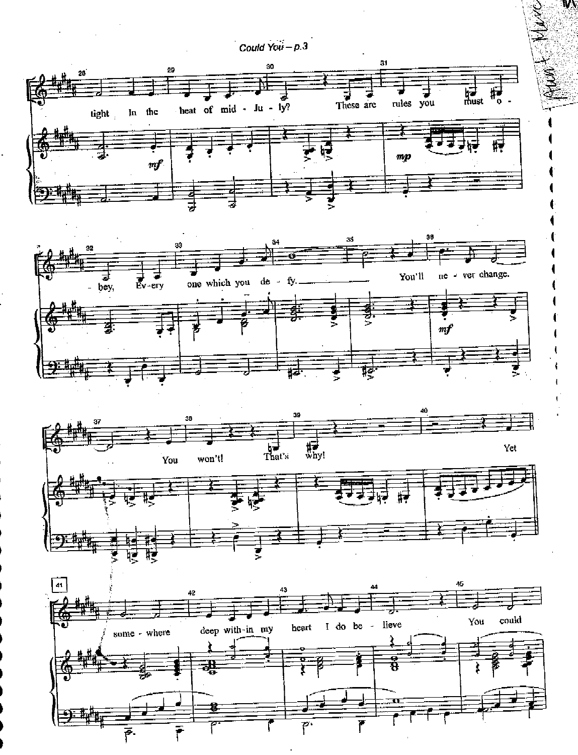